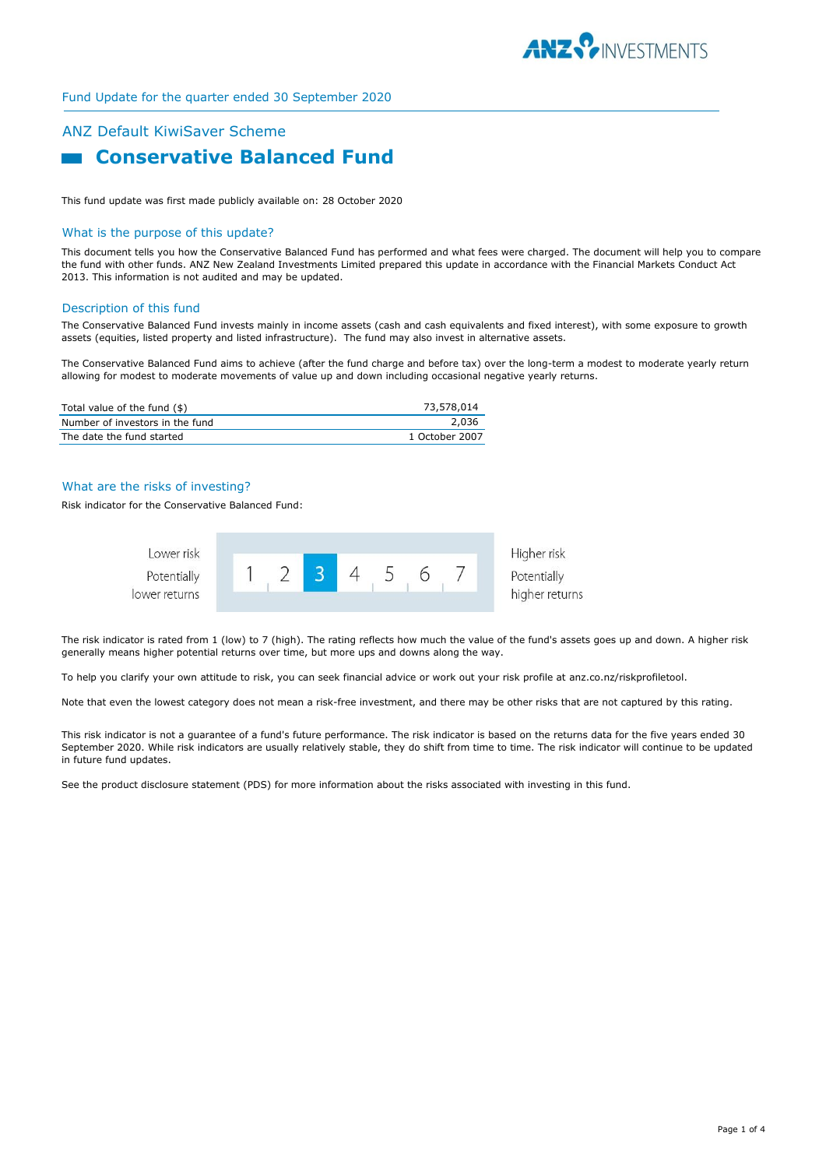

# Fund Update for the quarter ended 30 September 2020

# ANZ Default KiwiSaver Scheme  **Conservative Balanced Fund**

This fund update was first made publicly available on: 28 October 2020

### What is the purpose of this update?

This document tells you how the Conservative Balanced Fund has performed and what fees were charged. The document will help you to compare the fund with other funds. ANZ New Zealand Investments Limited prepared this update in accordance with the Financial Markets Conduct Act 2013. This information is not audited and may be updated.

### Description of this fund

The Conservative Balanced Fund invests mainly in income assets (cash and cash equivalents and fixed interest), with some exposure to growth assets (equities, listed property and listed infrastructure). The fund may also invest in alternative assets.

The Conservative Balanced Fund aims to achieve (after the fund charge and before tax) over the long-term a modest to moderate yearly return allowing for modest to moderate movements of value up and down including occasional negative yearly returns.

| Total value of the fund $(\$)$  | 73,578,014     |
|---------------------------------|----------------|
| Number of investors in the fund | 2,036          |
| The date the fund started       | 1 October 2007 |

# What are the risks of investing?

Risk indicator for the Conservative Balanced Fund:



The risk indicator is rated from 1 (low) to 7 (high). The rating reflects how much the value of the fund's assets goes up and down. A higher risk generally means higher potential returns over time, but more ups and downs along the way.

To help you clarify your own attitude to risk, you can seek financial advice or work out your risk profile at anz.co.nz/riskprofiletool.

Note that even the lowest category does not mean a risk-free investment, and there may be other risks that are not captured by this rating.

This risk indicator is not a guarantee of a fund's future performance. The risk indicator is based on the returns data for the five years ended 30 September 2020. While risk indicators are usually relatively stable, they do shift from time to time. The risk indicator will continue to be updated in future fund updates.

See the product disclosure statement (PDS) for more information about the risks associated with investing in this fund.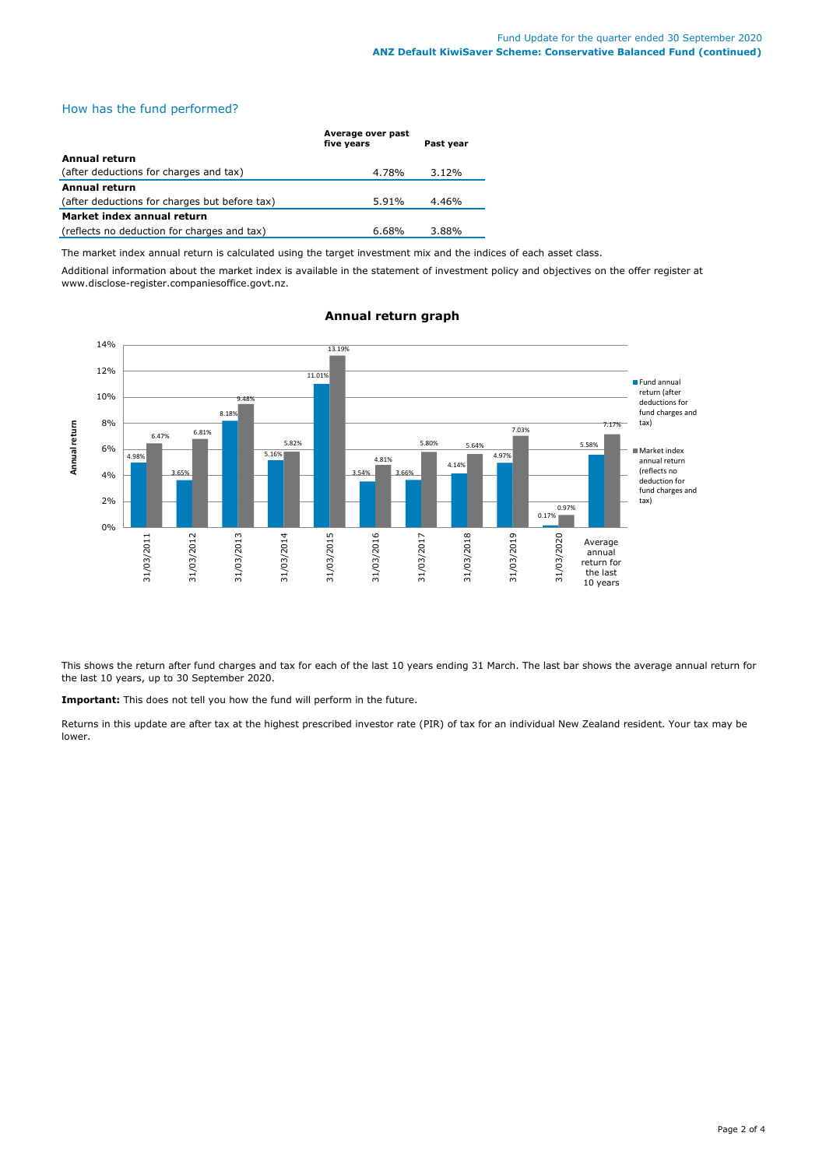# How has the fund performed?

|                                               | Average over past<br>five years | Past year |
|-----------------------------------------------|---------------------------------|-----------|
| Annual return                                 |                                 |           |
| (after deductions for charges and tax)        | 4.78%                           | $3.12\%$  |
| <b>Annual return</b>                          |                                 |           |
| (after deductions for charges but before tax) | 5.91%                           | 4.46%     |
| Market index annual return                    |                                 |           |
| (reflects no deduction for charges and tax)   | $6.68\%$                        | 3.88%     |

The market index annual return is calculated using the target investment mix and the indices of each asset class.

Additional information about the market index is available in the statement of investment policy and objectives on the offer register at www.disclose-register.companiesoffice.govt.nz.



# **Annual return graph**

This shows the return after fund charges and tax for each of the last 10 years ending 31 March. The last bar shows the average annual return for the last 10 years, up to 30 September 2020.

**Important:** This does not tell you how the fund will perform in the future.

Returns in this update are after tax at the highest prescribed investor rate (PIR) of tax for an individual New Zealand resident. Your tax may be lower.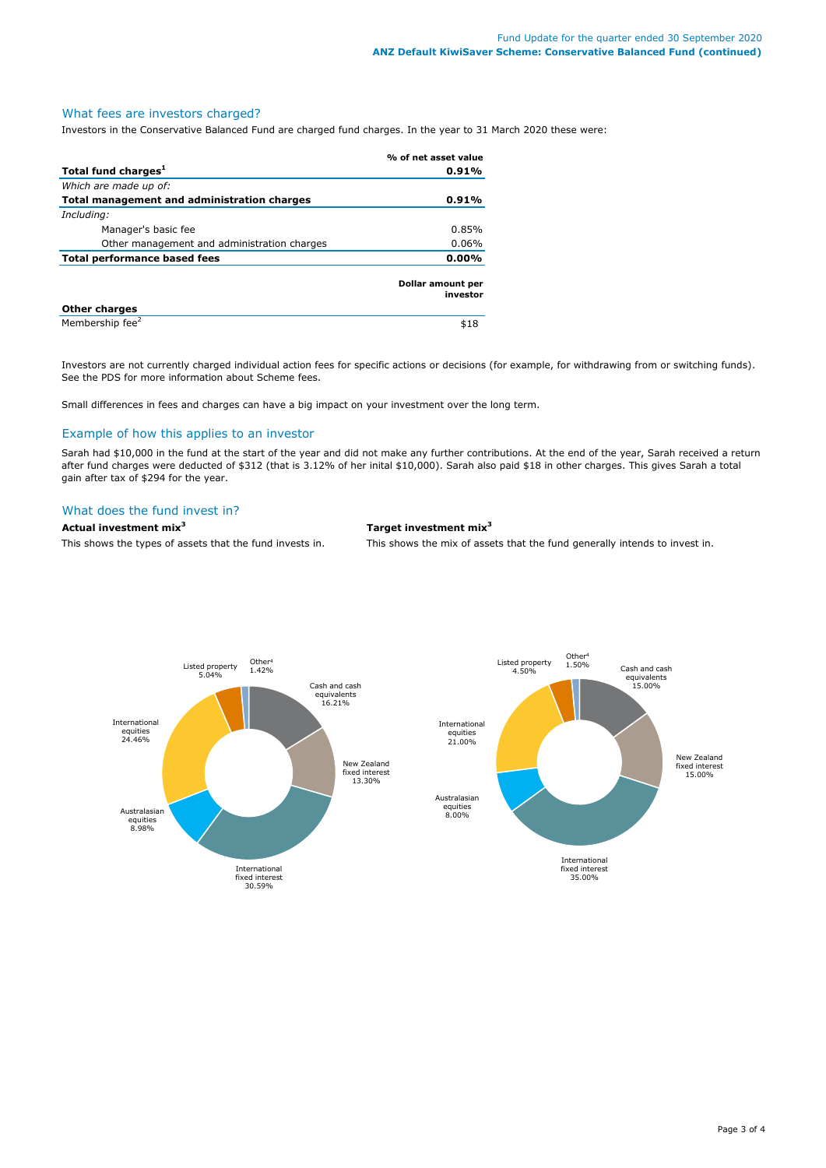### What fees are investors charged?

Investors in the Conservative Balanced Fund are charged fund charges. In the year to 31 March 2020 these were:

|                                             | % of net asset value          |  |
|---------------------------------------------|-------------------------------|--|
| Total fund charges <sup>1</sup>             | 0.91%                         |  |
| Which are made up of:                       |                               |  |
| Total management and administration charges | 0.91%                         |  |
| Including:                                  |                               |  |
| Manager's basic fee                         | 0.85%                         |  |
| Other management and administration charges | $0.06\%$                      |  |
| <b>Total performance based fees</b>         | $0.00\%$                      |  |
|                                             | Dollar amount per<br>investor |  |
| <b>Other charges</b>                        |                               |  |
| Membership fee <sup>2</sup>                 | \$18                          |  |

Investors are not currently charged individual action fees for specific actions or decisions (for example, for withdrawing from or switching funds). See the PDS for more information about Scheme fees.

Small differences in fees and charges can have a big impact on your investment over the long term.

# Example of how this applies to an investor

Sarah had \$10,000 in the fund at the start of the year and did not make any further contributions. At the end of the year, Sarah received a return after fund charges were deducted of \$312 (that is 3.12% of her inital \$10,000). Sarah also paid \$18 in other charges. This gives Sarah a total gain after tax of \$294 for the year.

# What does the fund invest in?

# **Actual investment mix<sup>3</sup> Target investment mix<sup>3</sup>**

This shows the types of assets that the fund invests in. This shows the mix of assets that the fund generally intends to invest in.